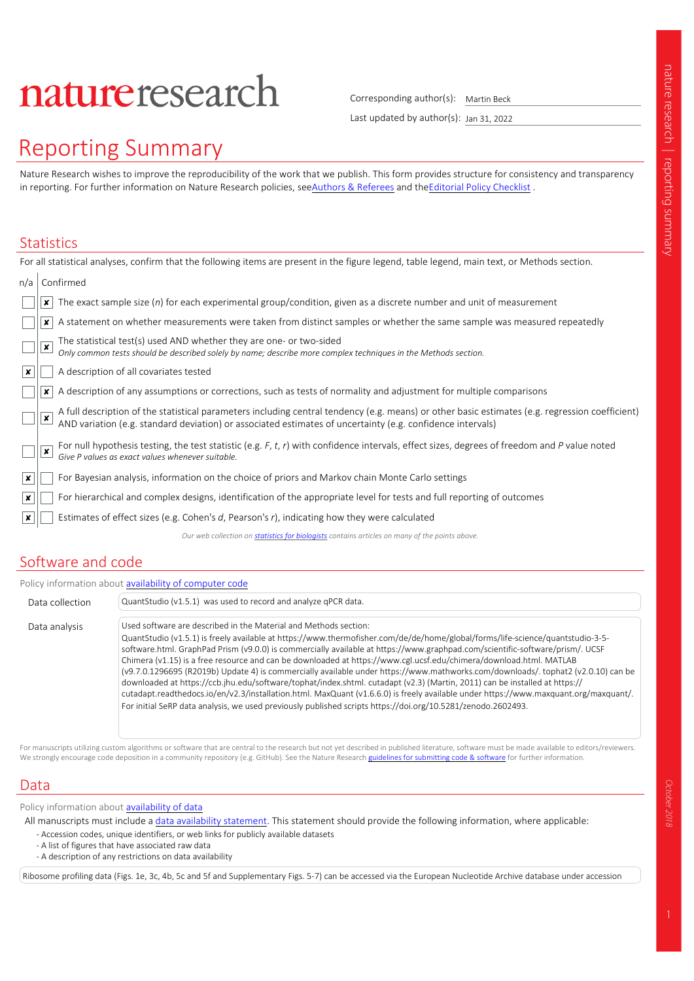# natureresearch

Corresponding author(s): Martin Beck

Last updated by author(s): Jan 31, 2022

## Reporting Summary

Nature Research wishes to improve the reproducibility of the work that we publish. This form provides structure for consistency and transparency in reporting. For further information on Nature Research policies, seeAuthors & Referees and theEditorial Policy Checklist.

#### **Statistics**

|     |    | For all statistical analyses, confirm that the following items are present in the figure legend, table legend, main text, or Methods section.                                                                                  |  |  |  |  |
|-----|----|--------------------------------------------------------------------------------------------------------------------------------------------------------------------------------------------------------------------------------|--|--|--|--|
| n/a |    | Confirmed                                                                                                                                                                                                                      |  |  |  |  |
|     | x  | The exact sample size $(n)$ for each experimental group/condition, given as a discrete number and unit of measurement                                                                                                          |  |  |  |  |
|     |    | A statement on whether measurements were taken from distinct samples or whether the same sample was measured repeatedly                                                                                                        |  |  |  |  |
|     | X. | The statistical test(s) used AND whether they are one- or two-sided<br>Only common tests should be described solely by name; describe more complex techniques in the Methods section.                                          |  |  |  |  |
| x   |    | A description of all covariates tested                                                                                                                                                                                         |  |  |  |  |
|     | x. | A description of any assumptions or corrections, such as tests of normality and adjustment for multiple comparisons                                                                                                            |  |  |  |  |
|     | x  | A full description of the statistical parameters including central tendency (e.g. means) or other basic estimates (e.g. regression coefficient) AND variation (e.g. standard deviation) or associated estimates of uncertainty |  |  |  |  |
|     | ×  | For null hypothesis testing, the test statistic (e.g. F, t, r) with confidence intervals, effect sizes, degrees of freedom and P value noted Give P values as exact values whenever suitable.                                  |  |  |  |  |
| ×   |    | For Bayesian analysis, information on the choice of priors and Markov chain Monte Carlo settings                                                                                                                               |  |  |  |  |
| x   |    | For hierarchical and complex designs, identification of the appropriate level for tests and full reporting of outcomes                                                                                                         |  |  |  |  |
| x   |    | Estimates of effect sizes (e.g. Cohen's $d$ , Pearson's $r$ ), indicating how they were calculated                                                                                                                             |  |  |  |  |
|     |    | Our web collection on statistics for biologists contains articles on many of the points above.                                                                                                                                 |  |  |  |  |

#### Software and code

|                 | Policy information about availability of computer code                                                                                                                                                                                                                                                                                                                                                                                                                                                                                                                                                                                                                                                                                                                                                                                                                                                                                                                               |
|-----------------|--------------------------------------------------------------------------------------------------------------------------------------------------------------------------------------------------------------------------------------------------------------------------------------------------------------------------------------------------------------------------------------------------------------------------------------------------------------------------------------------------------------------------------------------------------------------------------------------------------------------------------------------------------------------------------------------------------------------------------------------------------------------------------------------------------------------------------------------------------------------------------------------------------------------------------------------------------------------------------------|
| Data collection | QuantStudio (v1.5.1) was used to record and analyze gPCR data.                                                                                                                                                                                                                                                                                                                                                                                                                                                                                                                                                                                                                                                                                                                                                                                                                                                                                                                       |
| Data analysis   | Used software are described in the Material and Methods section:<br>QuantStudio (v1.5.1) is freely available at https://www.thermofisher.com/de/de/home/global/forms/life-science/quantstudio-3-5-<br>software.html. GraphPad Prism (v9.0.0) is commercially available at https://www.graphpad.com/scientific-software/prism/. UCSF<br>Chimera (v1.15) is a free resource and can be downloaded at https://www.cgl.ucsf.edu/chimera/download.html. MATLAB<br>(v9.7.0.1296695 (R2019b) Update 4) is commercially available under https://www.mathworks.com/downloads/. tophat2 (v2.0.10) can be<br>downloaded at https://ccb.jhu.edu/software/tophat/index.shtml. cutadapt (v2.3) (Martin, 2011) can be installed at https://<br>cutadapt.readthedocs.io/en/v2.3/installation.html. MaxQuant (v1.6.6.0) is freely available under https://www.maxquant.org/maxquant/.<br>For initial SeRP data analysis, we used previously published scripts https://doi.org/10.5281/zenodo.2602493. |

For manuscripts utilizing custom algorithms or software that are central to the research but not yet described in published literature, software must be made available to editors/reviewers. We strongly encourage code deposition in a community repository (e.g. GitHub). See the Nature Research guidelines for submitting code & software for further information.

#### Data

Policy information about **availability of data** 

All manuscripts must include a data availability statement. This statement should provide the following information, where applicable:

- Accession codes, unique identifiers, or web links for publicly available datasets
- A list of figures that have associated raw data
- A description of any restrictions on data availability

Ribosome profiling data (Figs. 1e, 3c, 4b, 5c and 5f and Supplementary Figs. 5-7) can be accessed via the European Nucleotide Archive database under accession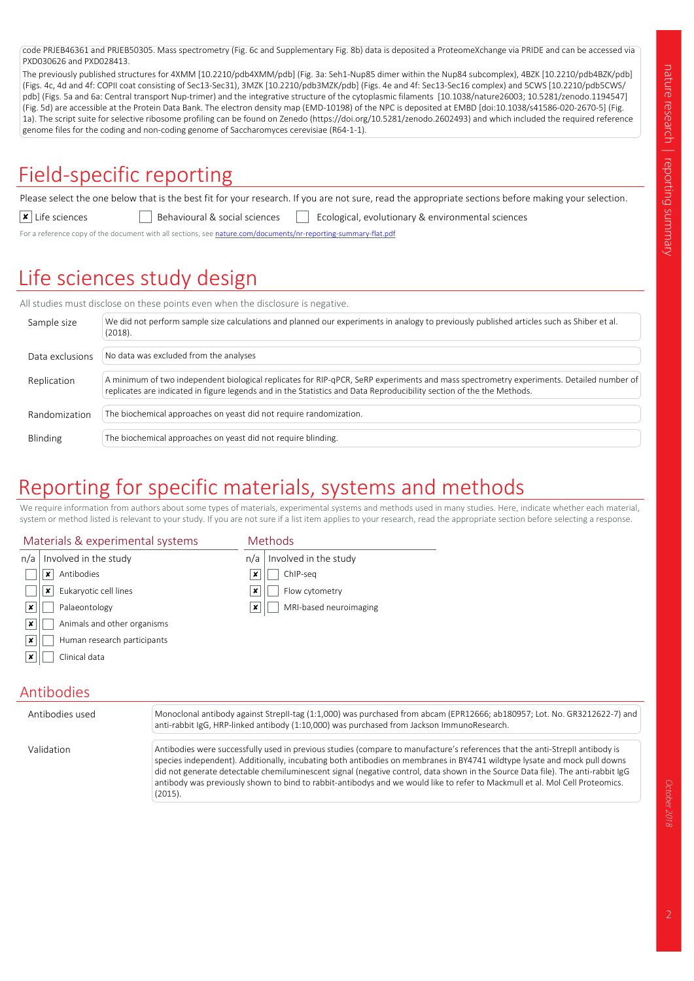nature research | rep orting sum mary

code PRJEB46361 and PRJEB50305. Mass spectrometry (Fig. 6c and Supplementary Fig. 8b) data is deposited a ProteomeXchange via PRIDE and can be accessed via PXD030626 and PXD028413.

The previously published structures for 4XMM [10.2210/pdb4XMM/pdb] (Fig. 3a: Seh1-Nup85 dimer within the Nup84 subcomplex), 4BZK [10.2210/pdb4BZK/pdb] (Figs. 4c, 4d and 4f: COPII coat consisting of Sec13-Sec31), 3MZK [10.2210/pdb3MZK/pdb] (Figs. 4e and 4f: Sec13-Sec16 complex) and 5CWS [10.2210/pdb5CWS/ pdb] (Figs. 5a and 6a: Central transport Nup-trimer) and the integrative structure of the cytoplasmic filaments [10.1038/nature26003; 10.5281/zenodo.1194547] (Fig. 5d) are accessible at the Protein Data Bank. The electron density map (EMD-10198) of the NPC is deposited at EMBD [doi:10.1038/s41586-020-2670-5] (Fig. 1a). The script suite for selective ribosome profiling can be found on Zenedo (https://doi.org/10.5281/zenodo.2602493) and which included the required reference genome files for the coding and non-coding genome of Saccharomyces cerevisiae (R64-1-1).

## Field-specific reporting

Please select the one below that is the best fit for your research. If you are not sure, read the appropriate sections before making your selection.  $\boxed{\mathbf{x}}$  Life sciences **Exercise Behavioural & social sciences** Ecological, evolutionary & environmental sciences

For a reference copy of the document with all sections, see nature.com/documents/nr-reporting-summary-flat.pdf

## Life sciences study design

|                 | All studies must disclose on these points even when the disclosure is negative.                                                                                                                                                                                  |
|-----------------|------------------------------------------------------------------------------------------------------------------------------------------------------------------------------------------------------------------------------------------------------------------|
| Sample size     | We did not perform sample size calculations and planned our experiments in analogy to previously published articles such as Shiber et al.<br>(2018).                                                                                                             |
| Data exclusions | No data was excluded from the analyses                                                                                                                                                                                                                           |
| Replication     | A minimum of two independent biological replicates for RIP-qPCR, SeRP experiments and mass spectrometry experiments. Detailed number of<br>replicates are indicated in figure legends and in the Statistics and Data Reproducibility section of the the Methods. |
| Randomization   | The biochemical approaches on yeast did not require randomization.                                                                                                                                                                                               |
| <b>Blinding</b> | The biochemical approaches on yeast did not require blinding.                                                                                                                                                                                                    |

## Reporting for specific materials, systems and methods

We require information from authors about some types of materials, experimental systems and methods used in many studies. Here, indicate whether each material, system or method listed is relevant to your study. If you are not sure if a list item applies to your research, read the appropriate section before selecting a response.

| Materials & experimental systems                | <b>Methods</b>               |  |
|-------------------------------------------------|------------------------------|--|
| Involved in the study<br>n/a                    | Involved in the study<br>n/a |  |
| Antibodies                                      | ChIP-seg<br>л.               |  |
| Eukaryotic cell lines                           | Flow cytometry<br>×          |  |
| $\boldsymbol{x}$<br>Palaeontology               | MRI-based neuroimaging<br>×  |  |
| Animals and other organisms<br>$\boldsymbol{x}$ |                              |  |
| $\boldsymbol{x}$<br>Human research participants |                              |  |
| Clinical data<br>$\boldsymbol{x}$               |                              |  |

#### Antibodies

| Antibodies used | Monoclonal antibody against StrepII-tag (1:1,000) was purchased from abcam (EPR12666; ab180957; Lot. No. GR3212622-7) and<br>anti-rabbit IgG, HRP-linked antibody (1:10,000) was purchased from Jackson ImmunoResearch.                                                                                                                                                                                                                                                                                                                 |
|-----------------|-----------------------------------------------------------------------------------------------------------------------------------------------------------------------------------------------------------------------------------------------------------------------------------------------------------------------------------------------------------------------------------------------------------------------------------------------------------------------------------------------------------------------------------------|
| Validation      | Antibodies were successfully used in previous studies (compare to manufacture's references that the anti-Strepll antibody is<br>species independent). Additionally, incubating both antibodies on membranes in BY4741 wildtype lysate and mock pull downs<br>did not generate detectable chemiluminescent signal (negative control, data shown in the Source Data file). The anti-rabbit IgG<br>antibody was previously shown to bind to rabbit-antibodys and we would like to refer to Mackmull et al. Mol Cell Proteomics.<br>(2015). |